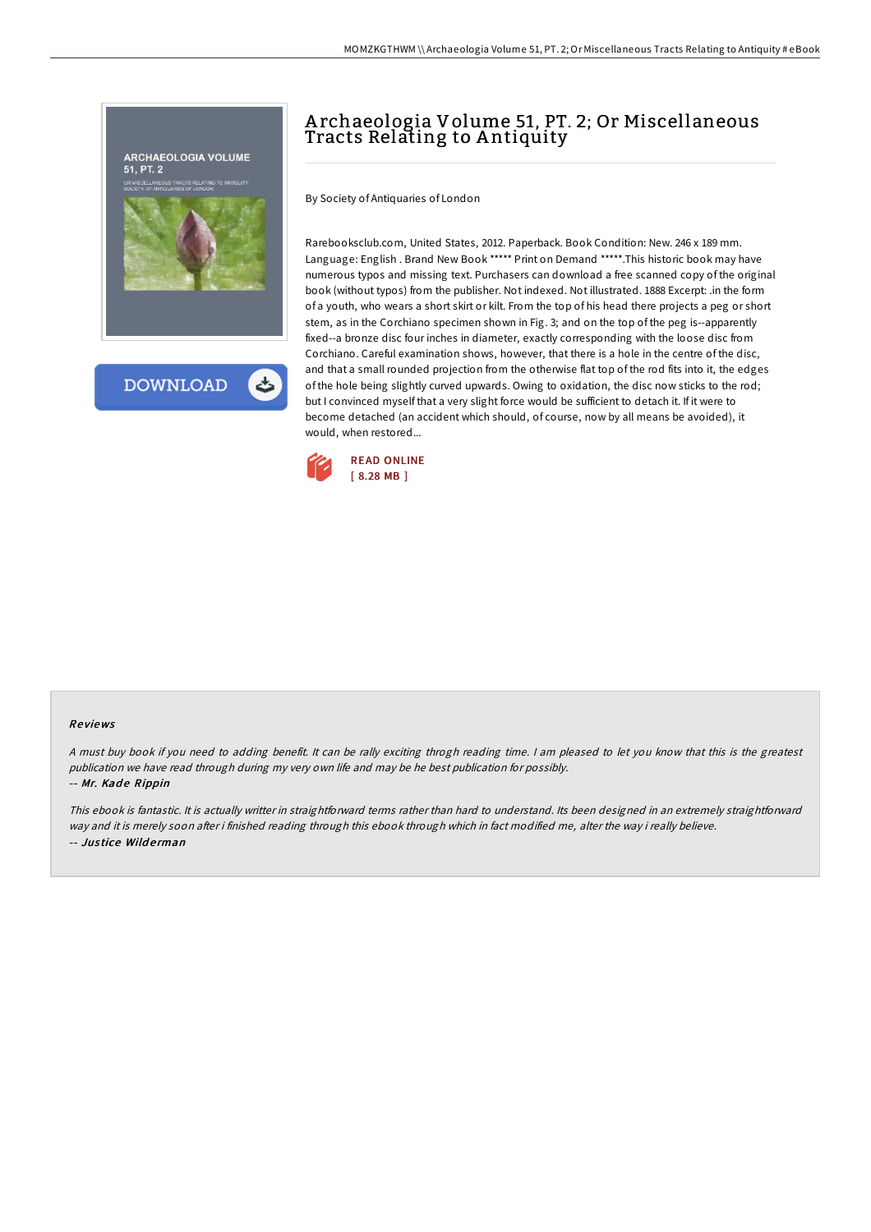

# A rchaeologia Volume 51, PT. 2; Or Miscellaneous Tracts Relating to A ntiquity

By Society of Antiquaries of London

Rarebooksclub.com, United States, 2012. Paperback. Book Condition: New. 246 x 189 mm. Language: English . Brand New Book \*\*\*\*\* Print on Demand \*\*\*\*\*. This historic book may have numerous typos and missing text. Purchasers can download a free scanned copy of the original book (without typos) from the publisher. Not indexed. Not illustrated. 1888 Excerpt: .in the form of a youth, who wears a short skirt or kilt. From the top of his head there projects a peg or short stem, as in the Corchiano specimen shown in Fig. 3; and on the top of the peg is--apparently fixed--a bronze disc four inches in diameter, exactly corresponding with the loose disc from Corchiano. Careful examination shows, however, that there is a hole in the centre of the disc, and that a small rounded projection from the otherwise flat top of the rod fits into it, the edges of the hole being slightly curved upwards. Owing to oxidation, the disc now sticks to the rod; but I convinced myself that a very slight force would be sufficient to detach it. If it were to become detached (an accident which should, of course, now by all means be avoided), it would, when restored...



#### Re views

<sup>A</sup> must buy book if you need to adding benefit. It can be rally exciting throgh reading time. <sup>I</sup> am pleased to let you know that this is the greatest publication we have read through during my very own life and may be he best publication for possibly.

-- Mr. Kade Rippin

This ebook is fantastic. It is actually writter in straightforward terms rather than hard to understand. Its been designed in an extremely straightforward way and it is merely soon after i finished reading through this ebook through which in fact modified me, alter the way i really believe. -- Jus tice Wild e rman